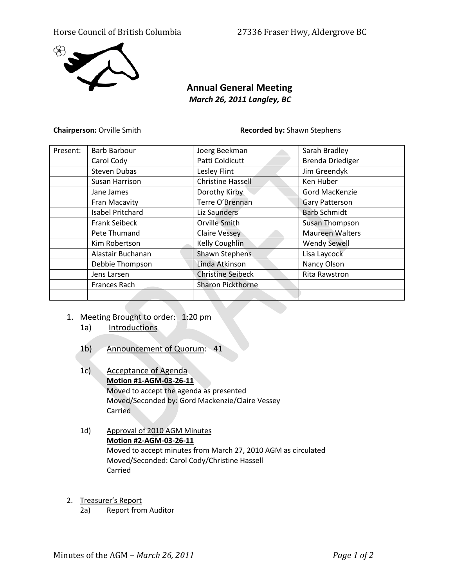## Horse Council of British Columbia 27336 Fraser Hwy, Aldergrove BC



# **Annual General Meeting** *March 26, 2011 Langley, BC*

**Chairperson:** Orville Smith **Recorded by:** Shawn Stephens

| Present: | <b>Barb Barbour</b>     | Joerg Beekman            | Sarah Bradley           |
|----------|-------------------------|--------------------------|-------------------------|
|          | Carol Cody              | Patti Coldicutt          | <b>Brenda Driediger</b> |
|          | <b>Steven Dubas</b>     | Lesley Flint             | Jim Greendyk            |
|          | Susan Harrison          | <b>Christine Hassell</b> | Ken Huber               |
|          | Jane James              | Dorothy Kirby            | Gord MacKenzie          |
|          | Fran Macavity           | Terre O'Brennan          | <b>Gary Patterson</b>   |
|          | <b>Isabel Pritchard</b> | Liz Saunders             | <b>Barb Schmidt</b>     |
|          | <b>Frank Seibeck</b>    | Orville Smith            | Susan Thompson          |
|          | Pete Thumand            | <b>Claire Vessey</b>     | <b>Maureen Walters</b>  |
|          | Kim Robertson           | Kelly Coughlin           | <b>Wendy Sewell</b>     |
|          | Alastair Buchanan       | Shawn Stephens           | Lisa Laycock            |
|          | Debbie Thompson         | Linda Atkinson           | Nancy Olson             |
|          | Jens Larsen             | <b>Christine Seibeck</b> | <b>Rita Rawstron</b>    |
|          | Frances Rach            | <b>Sharon Pickthorne</b> |                         |
|          |                         |                          |                         |

- 1. Meeting Brought to order: 1:20 pm
	- 1a) Introductions
	- 1b) Announcement of Quorum: 41
	- 1c) Acceptance of Agenda **Motion #1-AGM-03-26-11** Moved to accept the agenda as presented Moved/Seconded by: Gord Mackenzie/Claire Vessey Carried
	- 1d) Approval of 2010 AGM Minutes **Motion #2-AGM-03-26-11** Moved to accept minutes from March 27, 2010 AGM as circulated Moved/Seconded: Carol Cody/Christine Hassell Carried
- 2. Treasurer's Report
	- 2a) Report from Auditor